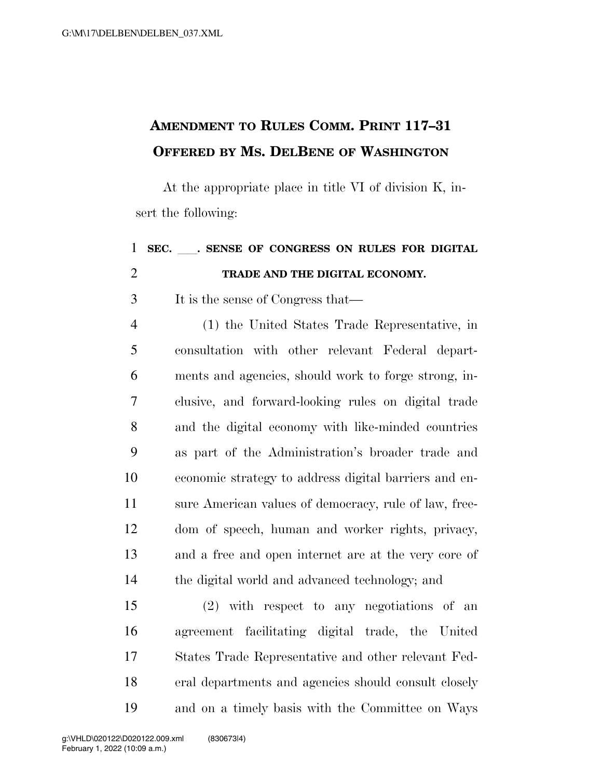## **AMENDMENT TO RULES COMM. PRINT 117–31 OFFERED BY MS. DELBENE OF WASHINGTON**

At the appropriate place in title VI of division K, insert the following:

## **SEC.** ll**. SENSE OF CONGRESS ON RULES FOR DIGITAL TRADE AND THE DIGITAL ECONOMY.**  It is the sense of Congress that— (1) the United States Trade Representative, in consultation with other relevant Federal depart- ments and agencies, should work to forge strong, in- clusive, and forward-looking rules on digital trade and the digital economy with like-minded countries as part of the Administration's broader trade and economic strategy to address digital barriers and en- sure American values of democracy, rule of law, free- dom of speech, human and worker rights, privacy, and a free and open internet are at the very core of the digital world and advanced technology; and (2) with respect to any negotiations of an agreement facilitating digital trade, the United States Trade Representative and other relevant Fed-eral departments and agencies should consult closely

and on a timely basis with the Committee on Ways